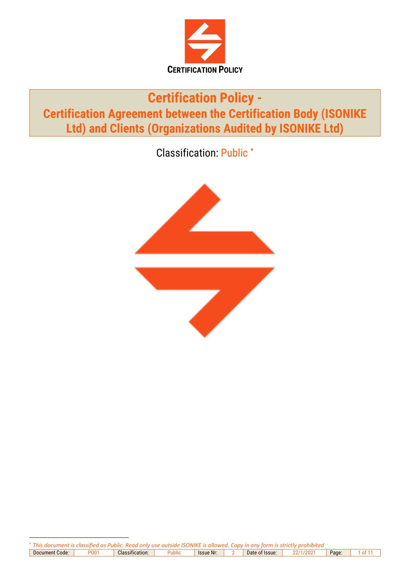

# **Certification Policy - Certification Agreement between the Certification Body (ISONIKE Ltd) and Clients (Organizations Audited by ISONIKE Ltd)**

Classification: Public \*

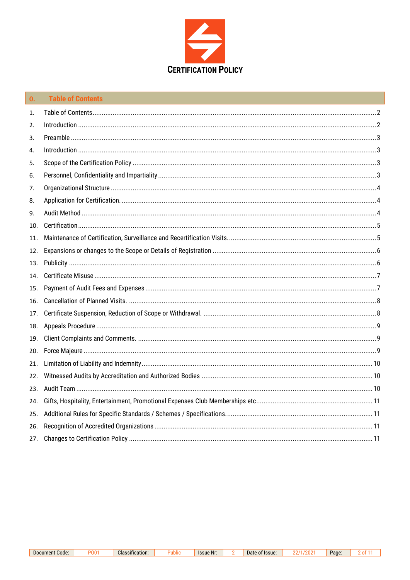

<span id="page-1-0"></span>

| $\mathbf{0}$ | <b>Table of Contents</b>                                                                                                                                                                                                                                                                                                                                                                                                                                       |  |
|--------------|----------------------------------------------------------------------------------------------------------------------------------------------------------------------------------------------------------------------------------------------------------------------------------------------------------------------------------------------------------------------------------------------------------------------------------------------------------------|--|
| 1.           |                                                                                                                                                                                                                                                                                                                                                                                                                                                                |  |
| 2.           |                                                                                                                                                                                                                                                                                                                                                                                                                                                                |  |
| 3.           |                                                                                                                                                                                                                                                                                                                                                                                                                                                                |  |
| 4.           | $\label{f:1} \mbox{Introduction} \,\, \ldots \,\, \ldots \,\, \ldots \,\, \ldots \,\, \ldots \,\, \ldots \,\, \ldots \,\, \ldots \,\, \ldots \,\, \ldots \,\, \ldots \,\, \ldots \,\, \ldots \,\, \ldots \,\, \ldots \,\, \ldots \,\, \ldots \,\, \ldots \,\, \ldots \,\, \ldots \,\, \ldots \,\, \ldots \,\, \ldots \,\, \ldots \,\, \ldots \,\, \ldots \,\, \ldots \,\, \ldots \,\, \ldots \,\, \ldots \,\, \ldots \,\, \ldots \,\, \ldots \,\, \ldots \,\,$ |  |
| 5.           |                                                                                                                                                                                                                                                                                                                                                                                                                                                                |  |
| 6.           |                                                                                                                                                                                                                                                                                                                                                                                                                                                                |  |
| 7.           |                                                                                                                                                                                                                                                                                                                                                                                                                                                                |  |
| 8.           |                                                                                                                                                                                                                                                                                                                                                                                                                                                                |  |
| 9.           |                                                                                                                                                                                                                                                                                                                                                                                                                                                                |  |
| 10.          |                                                                                                                                                                                                                                                                                                                                                                                                                                                                |  |
| 11.          |                                                                                                                                                                                                                                                                                                                                                                                                                                                                |  |
| 12.          |                                                                                                                                                                                                                                                                                                                                                                                                                                                                |  |
| 13.          |                                                                                                                                                                                                                                                                                                                                                                                                                                                                |  |
| 14.          |                                                                                                                                                                                                                                                                                                                                                                                                                                                                |  |
| 15.          |                                                                                                                                                                                                                                                                                                                                                                                                                                                                |  |
| 16.          |                                                                                                                                                                                                                                                                                                                                                                                                                                                                |  |
| 17.          |                                                                                                                                                                                                                                                                                                                                                                                                                                                                |  |
| 18.          |                                                                                                                                                                                                                                                                                                                                                                                                                                                                |  |
| 19.          |                                                                                                                                                                                                                                                                                                                                                                                                                                                                |  |
| 20.          |                                                                                                                                                                                                                                                                                                                                                                                                                                                                |  |
| 21.          |                                                                                                                                                                                                                                                                                                                                                                                                                                                                |  |
| 22.          |                                                                                                                                                                                                                                                                                                                                                                                                                                                                |  |
| 23.          |                                                                                                                                                                                                                                                                                                                                                                                                                                                                |  |
| 24.          |                                                                                                                                                                                                                                                                                                                                                                                                                                                                |  |
| 25.          |                                                                                                                                                                                                                                                                                                                                                                                                                                                                |  |
| 26.          |                                                                                                                                                                                                                                                                                                                                                                                                                                                                |  |
| 27.          |                                                                                                                                                                                                                                                                                                                                                                                                                                                                |  |

<span id="page-1-1"></span>P001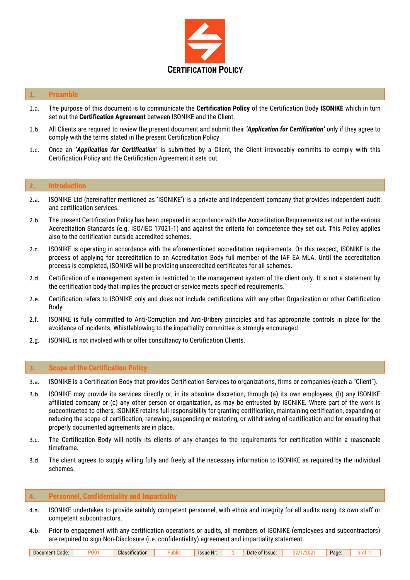

#### <span id="page-2-0"></span>**1. Preamble**

- 1.a. The purpose of this document is to communicate the **Certification Policy** of the Certification Body **ISONIKE** which in turn set out the **Certification Agreement** between ISONIKE and the Client.
- 1.b. All Clients are required to review the present document and submit their *'Application for Certification'* only if they agree to comply with the terms stated in the present Certification Policy
- 1.c. Once an *'Application for Certification'* is submitted by a Client, the Client irrevocably commits to comply with this Certification Policy and the Certification Agreement it sets out.

#### <span id="page-2-1"></span>**2. Introduction**

- 2.a. ISONIKE Ltd (hereinafter mentioned as 'ISONIKE') is a private and independent company that provides independent audit and certification services.
- 2.b. The present Certification Policy has been prepared in accordance with the Accreditation Requirements set out in the various Accreditation Standards (e.g. ISO/IEC 17021-1) and against the criteria for competence they set out. This Policy applies also to the certification outside accredited schemes.
- 2.c. ISONIKE is operating in accordance with the aforementioned accreditation requirements. On this respect, ISONIKE is the process of applying for accreditation to an Accreditation Body full member of the IAF EA MLA. Until the accreditation process is completed, ISONIKE will be providing unaccredited certificates for all schemes.
- 2.d. Certification of a management system is restricted to the management system of the client only. It is not a statement by the certification body that implies the product or service meets specified requirements.
- 2.e. Certification refers to ISONIKE only and does not include certifications with any other Organization or other Certification Body.
- 2.f. ISONIKE is fully committed to Anti-Corruption and Anti-Bribery principles and has appropriate controls in place for the avoidance of incidents. Whistleblowing to the impartiality committee is strongly encouraged
- 2.g. ISONIKE is not involved with or offer consultancy to Certification Clients.

#### <span id="page-2-2"></span>**3. Scope of the Certification Policy**

3.a. ISONIKE is a Certification Body that provides Certification Services to organizations, firms or companies (each a "Client").

- 3.b. ISONIKE may provide its services directly or, in its absolute discretion, through (a) its own employees, (b) any ISONIKE affiliated company or (c) any other person or organization, as may be entrusted by ISONIKE. Where part of the work is subcontracted to others, ISONIKE retains full responsibility for granting certification, maintaining certification, expanding or reducing the scope of certification, renewing, suspending or restoring, or withdrawing of certification and for ensuring that properly documented agreements are in place.
- 3.c. The Certification Body will notify its clients of any changes to the requirements for certification within a reasonable timeframe.
- 3.d. The client agrees to supply willing fully and freely all the necessary information to ISONIKE as required by the individual schemes.

#### <span id="page-2-3"></span>**4. Personnel, Confidentiality and Impartiality**

- 4.a. ISONIKE undertakes to provide suitably competent personnel, with ethos and integrity for all audits using its own staff or competent subcontractors.
- 4.b. Prior to engagement with any certification operations or audits, all members of ISONIKE (employees and subcontractors) are required to sign Non-Disclosure (i.e. confidentiality) agreement and impartiality statement.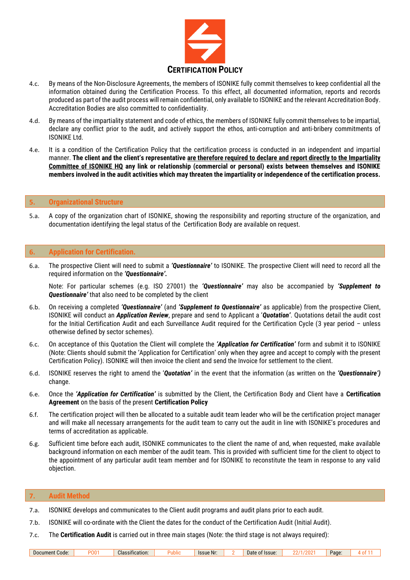

- 4.c. By means of the Non-Disclosure Agreements, the members of ISONIKE fully commit themselves to keep confidential all the information obtained during the Certification Process. To this effect, all documented information, reports and records produced as part of the audit process will remain confidential, only available to ISONIKE and the relevant Accreditation Body. Accreditation Bodies are also committed to confidentiality.
- 4.d. By means of the impartiality statement and code of ethics, the members of ISONIKE fully commit themselves to be impartial, declare any conflict prior to the audit, and actively support the ethos, anti-corruption and anti-bribery commitments of ISONIKE Ltd.
- 4.e. It is a condition of the Certification Policy that the certification process is conducted in an independent and impartial manner. **The client and the client's representative are therefore required to declare and report directly to the Impartiality Committee of ISONIKE HQ any link or relationship (commercial or personal) exists between themselves and ISONIKE members involved in the audit activities which may threaten the impartiality or independence of the certification process.**

## <span id="page-3-0"></span>**5. Organizational Structure**

5.a. A copy of the organization chart of ISONIKE, showing the responsibility and reporting structure of the organization, and documentation identifying the legal status of the Certification Body are available on request.

## <span id="page-3-1"></span>**6. Application for Certification.**

6.a. The prospective Client will need to submit a *'Questionnaire'* to ISONIKE. The prospective Client will need to record all the required information on the *'Questionnaire'.* 

Note: For particular schemes (e.g. ISO 27001) the *'Questionnaire'* may also be accompanied by *'Supplement to Questionnaire'* that also need to be completed by the client

- 6.b. On receiving a completed *'Questionnaire'* (and *'Supplement to Questionnaire'* as applicable) from the prospective Client, ISONIKE will conduct an *Application Review*, prepare and send to Applicant a '*Quotation'*. Quotations detail the audit cost for the Initial Certification Audit and each Surveillance Audit required for the Certification Cycle (3 year period – unless otherwise defined by sector schemes).
- 6.c. On acceptance of this Quotation the Client will complete the *'Application for Certification'* form and submit it to ISONIKE (Note: Clients should submit the 'Application for Certification' only when they agree and accept to comply with the present Certification Policy). ISONIKE will then invoice the client and send the Invoice for settlement to the client.
- 6.d. ISONIKE reserves the right to amend the '*Quotation'* in the event that the information (as written on the *'Questionnaire')*  change.
- 6.e. Once the *'Application for Certification'* is submitted by the Client, the Certification Body and Client have a **Certification Agreement** on the basis of the present **Certification Policy**
- 6.f. The certification project will then be allocated to a suitable audit team leader who will be the certification project manager and will make all necessary arrangements for the audit team to carry out the audit in line with ISONIKE's procedures and terms of accreditation as applicable.
- 6.g. Sufficient time before each audit, ISONIKE communicates to the client the name of and, when requested, make available background information on each member of the audit team. This is provided with sufficient time for the client to object to the appointment of any particular audit team member and for ISONIKE to reconstitute the team in response to any valid objection.

## <span id="page-3-2"></span>**7. Audit Method**

- 7.a. ISONIKE develops and communicates to the Client audit programs and audit plans prior to each audit.
- 7.b. ISONIKE will co-ordinate with the Client the dates for the conduct of the Certification Audit (Initial Audit).
- 7.c. The **Certification Audit** is carried out in three main stages (Note: the third stage is not always required):

| Code:<br>Document | וחי | Classification: | .<br>m | <b>Issue Nr:</b> |  | lssue:<br>лате |  | Page: | . . |
|-------------------|-----|-----------------|--------|------------------|--|----------------|--|-------|-----|
|-------------------|-----|-----------------|--------|------------------|--|----------------|--|-------|-----|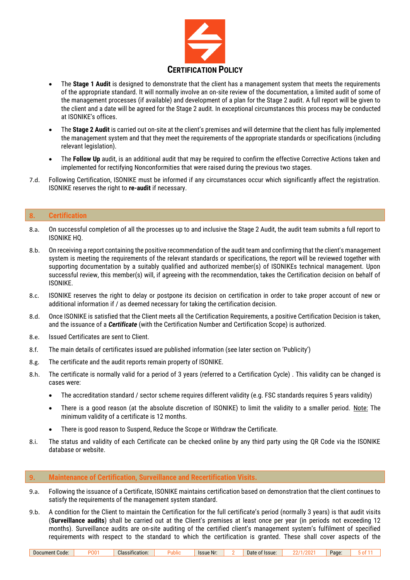

- The **Stage 1 Audit** is designed to demonstrate that the client has a management system that meets the requirements of the appropriate standard. It will normally involve an on-site review of the documentation, a limited audit of some of the management processes (if available) and development of a plan for the Stage 2 audit. A full report will be given to the client and a date will be agreed for the Stage 2 audit. In exceptional circumstances this process may be conducted at ISONIKE's offices.
- The **Stage 2 Audit** is carried out on-site at the client's premises and will determine that the client has fully implemented the management system and that they meet the requirements of the appropriate standards or specifications (including relevant legislation).
- The **Follow Up** audit, is an additional audit that may be required to confirm the effective Corrective Actions taken and implemented for rectifying Nonconformities that were raised during the previous two stages.
- 7.d. Following Certification, ISONIKE must be informed if any circumstances occur which significantly affect the registration. ISONIKE reserves the right to **re-audit** if necessary.

# <span id="page-4-0"></span>**8. Certification**

- 8.a. On successful completion of all the processes up to and inclusive the Stage 2 Audit, the audit team submits a full report to ISONIKE HQ.
- 8.b. On receiving a report containing the positive recommendation of the audit team and confirming that the client's management system is meeting the requirements of the relevant standards or specifications, the report will be reviewed together with supporting documentation by a suitably qualified and authorized member(s) of ISONIKEs technical management. Upon successful review, this member(s) will, if agreeing with the recommendation, takes the Certification decision on behalf of ISONIKE.
- 8.c. ISONIKE reserves the right to delay or postpone its decision on certification in order to take proper account of new or additional information if / as deemed necessary for taking the certification decision.
- 8.d. Once ISONIKE is satisfied that the Client meets all the Certification Requirements, a positive Certification Decision is taken, and the issuance of a *Certificate* (with the Certification Number and Certification Scope) is authorized.
- 8.e. Issued Certificates are sent to Client.
- 8.f. The main details of certificates issued are published information (see later section on 'Publicity')
- 8.g. The certificate and the audit reports remain property of ISONIKE.
- 8.h. The certificate is normally valid for a period of 3 years (referred to a Certification Cycle) . This validity can be changed is cases were:
	- The accreditation standard / sector scheme requires different validity (e.g. FSC standards requires 5 years validity)
	- There is a good reason (at the absolute discretion of ISONIKE) to limit the validity to a smaller period. Note: The minimum validity of a certificate is 12 months.
	- There is good reason to Suspend, Reduce the Scope or Withdraw the Certificate.
- 8.i. The status and validity of each Certificate can be checked online by any third party using the QR Code via the ISONIKE database or website.

#### <span id="page-4-1"></span>**9. Maintenance of Certification, Surveillance and Recertification Visits.**

- 9.a. Following the issuance of a Certificate, ISONIKE maintains certification based on demonstration that the client continues to satisfy the requirements of the management system standard.
- 9.b. A condition for the Client to maintain the Certification for the full certificate's period (normally 3 years) is that audit visits (**Surveillance audits**) shall be carried out at the Client's premises at least once per year (in periods not exceeding 12 months). Surveillance audits are on-site auditing of the certified client's management system's fulfilment of specified requirements with respect to the standard to which the certification is granted. These shall cover aspects of the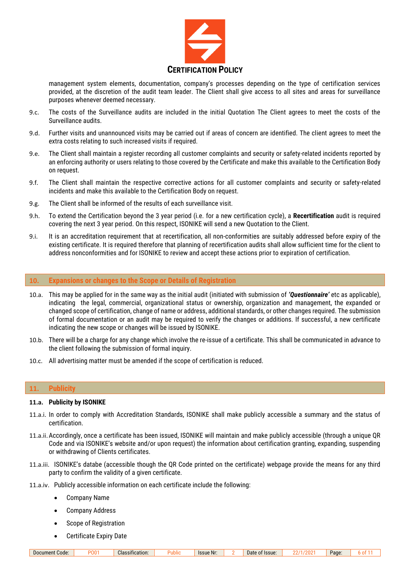

management system elements, documentation, company's processes depending on the type of certification services provided, at the discretion of the audit team leader. The Client shall give access to all sites and areas for surveillance purposes whenever deemed necessary.

- 9.c. The costs of the Surveillance audits are included in the initial Quotation The Client agrees to meet the costs of the Surveillance audits.
- 9.d. Further visits and unannounced visits may be carried out if areas of concern are identified. The client agrees to meet the extra costs relating to such increased visits if required.
- 9.e. The Client shall maintain a register recording all customer complaints and security or safety-related incidents reported by an enforcing authority or users relating to those covered by the Certificate and make this available to the Certification Body on request.
- 9.f. The Client shall maintain the respective corrective actions for all customer complaints and security or safety-related incidents and make this available to the Certification Body on request.
- 9.g. The Client shall be informed of the results of each surveillance visit.
- 9.h. To extend the Certification beyond the 3 year period (i.e. for a new certification cycle), a **Recertification** audit is required covering the next 3 year period. On this respect, ISONIKE will send a new Quotation to the Client.
- 9.i. It is an accreditation requirement that at recertification, all non-conformities are suitably addressed before expiry of the existing certificate. It is required therefore that planning of recertification audits shall allow sufficient time for the client to address nonconformities and for ISONIKE to review and accept these actions prior to expiration of certification.

#### <span id="page-5-0"></span>**10. Expansions or changes to the Scope or Details of Registration**

- 10.a. This may be applied for in the same way as the initial audit (initiated with submission of *'Questionnaire'* etc as applicable), indicating the legal, commercial, organizational status or ownership, organization and management, the expanded or changed scope of certification, change of name or address, additional standards, or other changes required. The submission of formal documentation or an audit may be required to verify the changes or additions. If successful, a new certificate indicating the new scope or changes will be issued by ISONIKE.
- 10.b. There will be a charge for any change which involve the re-issue of a certificate. This shall be communicated in advance to the client following the submission of formal inquiry.
- 10.c. All advertising matter must be amended if the scope of certification is reduced.

# <span id="page-5-1"></span>**11. Publicity**

#### **11.a. Publicity by ISONIKE**

- 11.a.i. In order to comply with Accreditation Standards, ISONIKE shall make publicly accessible a summary and the status of certification.
- 11.a.ii.Accordingly, once a certificate has been issued, ISONIKE will maintain and make publicly accessible (through a unique QR Code and via ISONIKE's website and/or upon request) the information about certification granting, expanding, suspending or withdrawing of Clients certificates.
- 11.a.iii. ISONIKE's databe (accessible though the QR Code printed on the certificate) webpage provide the means for any third party to confirm the validity of a given certificate.
- 11.a.iv. Publicly accessible information on each certificate include the following:
	- Company Name
	- Company Address
	- Scope of Registration
	- Certificate Expiry Date

Document Code: PO01 Classification: Public Issue Nr: 2 Date of Issue: 22/1/2021 Page: 6 of 11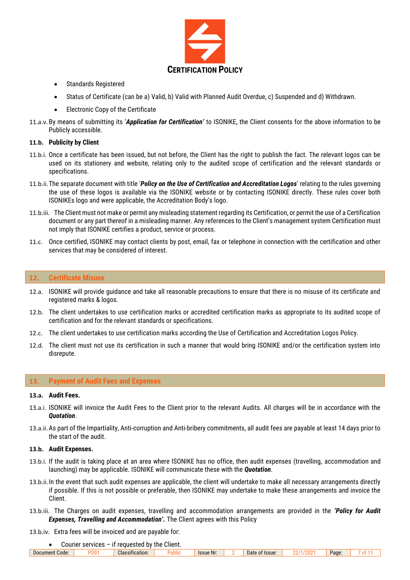

- Standards Registered
- Status of Certificate (can be a) Valid, b) Valid with Planned Audit Overdue, c) Suspended and d) Withdrawn.
- Electronic Copy of the Certificate
- 11.a.v. By means of submitting its '*Application for Certification'* to ISONIKE, the Client consents for the above information to be Publicly accessible.

#### **11.b. Publicity by Client**

- 11.b.i. Once a certificate has been issued, but not before, the Client has the right to publish the fact. The relevant logos can be used on its stationery and website, relating only to the audited scope of certification and the relevant standards or specifications.
- 11.b.ii.The separate document with title '*Policy on the Use of Certification and Accreditation Logos*' relating to the rules governing the use of these logos is available via the ISONIKE website or by contacting ISONIKE directly. These rules cover both ISONIKEs logo and were applicable, the Accreditation Body's logo.
- 11.b.iii. The Client must not make or permit any misleading statement regarding its Certification, or permit the use of a Certification document or any part thereof in a misleading manner. Any references to the Client's management system Certification must not imply that ISONIKE certifies a product, service or process.
- 11.c. Once certified, ISONIKE may contact clients by post, email, fax or telephone in connection with the certification and other services that may be considered of interest.

## <span id="page-6-0"></span>**12. Certificate Misuse**

- 12.a. ISONIKE will provide guidance and take all reasonable precautions to ensure that there is no misuse of its certificate and registered marks & logos.
- 12.b. The client undertakes to use certification marks or accredited certification marks as appropriate to its audited scope of certification and for the relevant standards or specifications.
- 12.c. The client undertakes to use certification marks according the Use of Certification and Accreditation Logos Policy.
- 12.d. The client must not use its certification in such a manner that would bring ISONIKE and/or the certification system into disrepute.

## <span id="page-6-1"></span>**13. Payment of Audit Fees and Expenses**

#### **13.a. Audit Fees.**

- 13.a.i. ISONIKE will invoice the Audit Fees to the Client prior to the relevant Audits. All charges will be in accordance with the *Quotation*.
- 13.a.ii.As part of the Impartiality, Anti-corruption and Anti-bribery commitments, all audit fees are payable at least 14 days prior to the start of the audit.

## **13.b. Audit Expenses.**

- 13.b.i. If the audit is taking place at an area where ISONIKE has no office, then audit expenses (travelling, accommodation and launching) may be applicable. ISONIKE will communicate these with the *Quotation*.
- 13.b.ii.In the event that such audit expenses are applicable, the client will undertake to make all necessary arrangements directly if possible. If this is not possible or preferable, then ISONIKE may undertake to make these arrangements and invoice the Client.
- 13.b.iii. The Charges on audit expenses, travelling and accommodation arrangements are provided in the *'Policy for Audit Expenses, Travelling and Accommodation'.* The Client agrees with this Policy
- 13.b.iv. Extra fees will be invoiced and are payable for:

|  | Courier services $-$ if requested by the Client. |  |
|--|--------------------------------------------------|--|
|  |                                                  |  |

| $n_{\rm h}$<br>Document Code:<br>Page.<br>lssue:<br>Classification:<br><b>Issue Nr</b><br>Date<br>υu<br>IVI<br>טווטו |
|----------------------------------------------------------------------------------------------------------------------|
|----------------------------------------------------------------------------------------------------------------------|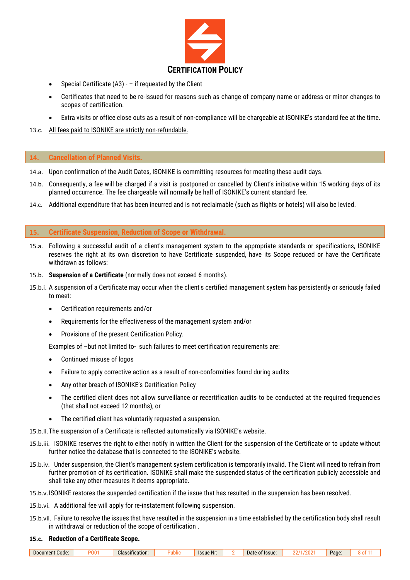

- Special Certificate  $(A3)$   $-$  if requested by the Client
- Certificates that need to be re-issued for reasons such as change of company name or address or minor changes to scopes of certification.
- Extra visits or office close outs as a result of non-compliance will be chargeable at ISONIKE's standard fee at the time.
- 13.c. All fees paid to ISONIKE are strictly non-refundable.

## <span id="page-7-0"></span>**14. Cancellation of Planned Visits.**

- 14.a. Upon confirmation of the Audit Dates, ISONIKE is committing resources for meeting these audit days.
- 14.b. Consequently, a fee will be charged if a visit is postponed or cancelled by Client's initiative within 15 working days of its planned occurrence. The fee chargeable will normally be half of ISONIKE's current standard fee.
- 14.c. Additional expenditure that has been incurred and is not reclaimable (such as flights or hotels) will also be levied.

# <span id="page-7-1"></span>**15. Certificate Suspension, Reduction of Scope or Withdrawal.**

- 15.a. Following a successful audit of a client's management system to the appropriate standards or specifications, ISONIKE reserves the right at its own discretion to have Certificate suspended, have its Scope reduced or have the Certificate withdrawn as follows:
- 15.b. **Suspension of a Certificate** (normally does not exceed 6 months).
- 15.b.i. A suspension of a Certificate may occur when the client's certified management system has persistently or seriously failed to meet:
	- Certification requirements and/or
	- Requirements for the effectiveness of the management system and/or
	- Provisions of the present Certification Policy.

Examples of –but not limited to- such failures to meet certification requirements are:

- Continued misuse of logos
- Failure to apply corrective action as a result of non-conformities found during audits
- Any other breach of ISONIKE's Certification Policy
- The certified client does not allow surveillance or recertification audits to be conducted at the required frequencies (that shall not exceed 12 months), or
- The certified client has voluntarily requested a suspension.

15.b.ii.The suspension of a Certificate is reflected automatically via ISONIKE's website.

- 15.b.iii. ISONIKE reserves the right to either notify in written the Client for the suspension of the Certificate or to update without further notice the database that is connected to the ISONIKE's website.
- 15.b.iv. Under suspension, the Client's management system certification is temporarily invalid. The Client will need to refrain from further promotion of its certification. ISONIKE shall make the suspended status of the certification publicly accessible and shall take any other measures it deems appropriate.
- 15.b.v.ISONIKE restores the suspended certification if the issue that has resulted in the suspension has been resolved.
- 15.b.vi. A additional fee will apply for re-instatement following suspension.
- 15.b.vii. Failure to resolve the issues that have resulted in the suspension in a time established by the certification body shall result in withdrawal or reduction of the scope of certification .

#### **15.c. Reduction of a Certificate Scope.**

| Code<br>Docur<br>ment | חי | $\cdot$<br>Classification: | uunu | <b>Issue Nr:</b> | <b>Issue</b><br>Date<br>$\mathbf{u}$ | Page: |  |
|-----------------------|----|----------------------------|------|------------------|--------------------------------------|-------|--|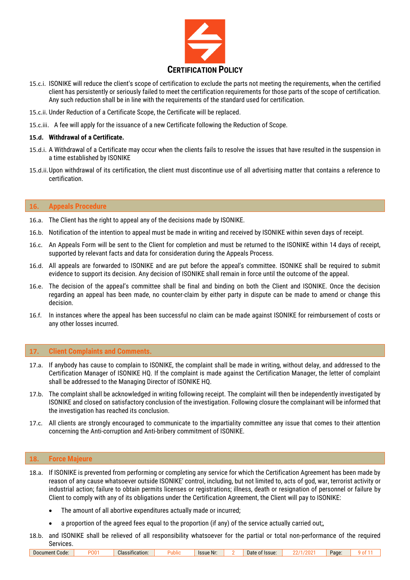

- 15.c.i. ISONIKE will reduce the client's scope of certification to exclude the parts not meeting the requirements, when the certified client has persistently or seriously failed to meet the certification requirements for those parts of the scope of certification. Any such reduction shall be in line with the requirements of the standard used for certification.
- 15.c.ii. Under Reduction of a Certificate Scope, the Certificate will be replaced.
- 15.c.iii. A fee will apply for the issuance of a new Certificate following the Reduction of Scope.

## **15.d. Withdrawal of a Certificate.**

- 15.d.i. A Withdrawal of a Certificate may occur when the clients fails to resolve the issues that have resulted in the suspension in a time established by ISONIKE
- 15.d.ii.Upon withdrawal of its certification, the client must discontinue use of all advertising matter that contains a reference to certification.

### <span id="page-8-0"></span>**16. Appeals Procedure**

- 16.a. The Client has the right to appeal any of the decisions made by ISONIKE.
- 16.b. Notification of the intention to appeal must be made in writing and received by ISONIKE within seven days of receipt.
- 16.c. An Appeals Form will be sent to the Client for completion and must be returned to the ISONIKE within 14 days of receipt, supported by relevant facts and data for consideration during the Appeals Process.
- 16.d. All appeals are forwarded to ISONIKE and are put before the appeal's committee. ISONIKE shall be required to submit evidence to support its decision. Any decision of ISONIKE shall remain in force until the outcome of the appeal.
- 16.e. The decision of the appeal's committee shall be final and binding on both the Client and ISONIKE. Once the decision regarding an appeal has been made, no counter-claim by either party in dispute can be made to amend or change this decision.
- 16.f. In instances where the appeal has been successful no claim can be made against ISONIKE for reimbursement of costs or any other losses incurred.

# <span id="page-8-1"></span>**17. Client Complaints and Comments.**

- 17.a. If anybody has cause to complain to ISONIKE, the complaint shall be made in writing, without delay, and addressed to the Certification Manager of ISONIKE HQ. If the complaint is made against the Certification Manager, the letter of complaint shall be addressed to the Managing Director of ISONIKE HQ.
- 17.b. The complaint shall be acknowledged in writing following receipt. The complaint will then be independently investigated by ISONIKE and closed on satisfactory conclusion of the investigation. Following closure the complainant will be informed that the investigation has reached its conclusion.
- 17.c. All clients are strongly encouraged to communicate to the impartiality committee any issue that comes to their attention concerning the Anti-corruption and Anti-bribery commitment of ISONIKE.

#### <span id="page-8-2"></span>**18. Force Majeure**

- 18.a. If ISONIKE is prevented from performing or completing any service for which the Certification Agreement has been made by reason of any cause whatsoever outside ISONIKE' control, including, but not limited to, acts of god, war, terrorist activity or industrial action; failure to obtain permits licenses or registrations; illness, death or resignation of personnel or failure by Client to comply with any of its obligations under the Certification Agreement, the Client will pay to ISONIKE:
	- The amount of all abortive expenditures actually made or incurred;
	- a proportion of the agreed fees equal to the proportion (if any) of the service actually carried out;,
- 18.b. and ISONIKE shall be relieved of all responsibility whatsoever for the partial or total non-performance of the required Services.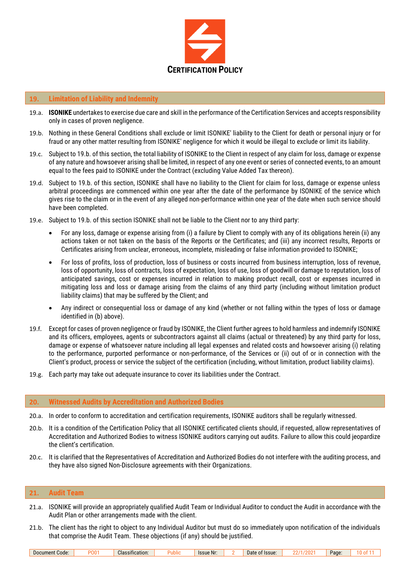

## <span id="page-9-0"></span>**19. Limitation of Liability and Indemnity**

- 19.a. **ISONIKE** undertakes to exercise due care and skill in the performance of the Certification Services and accepts responsibility only in cases of proven negligence.
- 19.b. Nothing in these General Conditions shall exclude or limit ISONIKE' liability to the Client for death or personal injury or for fraud or any other matter resulting from ISONIKE' negligence for which it would be illegal to exclude or limit its liability.
- 19.c. Subject to 19.b. of this section, the total liability of ISONIKE to the Client in respect of any claim for loss, damage or expense of any nature and howsoever arising shall be limited, in respect of any one event or series of connected events, to an amount equal to the fees paid to ISONIKE under the Contract (excluding Value Added Tax thereon).
- 19.d. Subject to 19.b. of this section, ISONIKE shall have no liability to the Client for claim for loss, damage or expense unless arbitral proceedings are commenced within one year after the date of the performance by ISONIKE of the service which gives rise to the claim or in the event of any alleged non-performance within one year of the date when such service should have been completed.
- 19.e. Subject to 19.b. of this section ISONIKE shall not be liable to the Client nor to any third party:
	- For any loss, damage or expense arising from (i) a failure by Client to comply with any of its obligations herein (ii) any actions taken or not taken on the basis of the Reports or the Certificates; and (iii) any incorrect results, Reports or Certificates arising from unclear, erroneous, incomplete, misleading or false information provided to ISONIKE;
	- For loss of profits, loss of production, loss of business or costs incurred from business interruption, loss of revenue, loss of opportunity, loss of contracts, loss of expectation, loss of use, loss of goodwill or damage to reputation, loss of anticipated savings, cost or expenses incurred in relation to making product recall, cost or expenses incurred in mitigating loss and loss or damage arising from the claims of any third party (including without limitation product liability claims) that may be suffered by the Client; and
	- Any indirect or consequential loss or damage of any kind (whether or not falling within the types of loss or damage identified in (b) above).
- 19.f. Except for cases of proven negligence or fraud by ISONIKE, the Client further agrees to hold harmless and indemnify ISONIKE and its officers, employees, agents or subcontractors against all claims (actual or threatened) by any third party for loss, damage or expense of whatsoever nature including all legal expenses and related costs and howsoever arising (i) relating to the performance, purported performance or non-performance, of the Services or (ii) out of or in connection with the Client's product, process or service the subject of the certification (including, without limitation, product liability claims).
- 19.g. Each party may take out adequate insurance to cover its liabilities under the Contract.

## <span id="page-9-1"></span>**20. Witnessed Audits by Accreditation and Authorized Bodies**

- 20.a. In order to conform to accreditation and certification requirements, ISONIKE auditors shall be regularly witnessed.
- 20.b. It is a condition of the Certification Policy that all ISONIKE certificated clients should, if requested, allow representatives of Accreditation and Authorized Bodies to witness ISONIKE auditors carrying out audits. Failure to allow this could jeopardize the client's certification.
- 20.c. It is clarified that the Representatives of Accreditation and Authorized Bodies do not interfere with the auditing process, and they have also signed Non-Disclosure agreements with their Organizations.

# <span id="page-9-2"></span>**21. Audit Team**

- 21.a. ISONIKE will provide an appropriately qualified Audit Team or Individual Auditor to conduct the Audit in accordance with the Audit Plan or other arrangements made with the client.
- 21.b. The client has the right to object to any Individual Auditor but must do so immediately upon notification of the individuals that comprise the Audit Team. These objections (if any) should be justified.

| Code:<br>Document |  | <b>Classification:</b> | . | <b>Issue Nr.</b> |  | Issue<br>Jate<br> |  | Page |  |
|-------------------|--|------------------------|---|------------------|--|-------------------|--|------|--|
|-------------------|--|------------------------|---|------------------|--|-------------------|--|------|--|